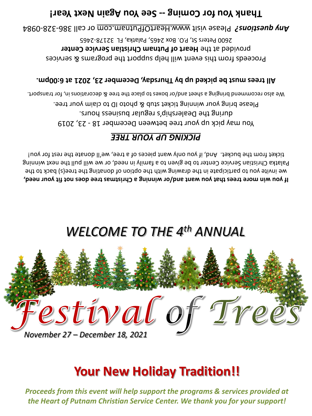*Proceeds from this event will help support the programs & services provided at the Heart of Putnam Christian Service Center. We thank you for your support!*

# **Your New Holiday Tradition!!**



# *WELCOME TO THE 4th ANNUAL*

**If you win more trees that you want and/or winning a Christmas tree does not fit your need,** we invite you to participate in the drawing with the option of donating the tree(s) back to the Palatka Christian Service Center to be given to a family in need, or we will pull the next winning ticket from the bucket. And, if you only want pieces of a tree, we'll donate the rest for you!

## *PICKING UP YOUR TREE*

You may pick up your tree between December 18 - 23, 2019 during the Dealership's regular business hours. Please bring your winning ticket stub & photo ID to claim your tree. We also recommend bringing a sheet and/or boxes to place the tree & decorations in, for transport.

All trees must be picked up by Thursday, December 23, 2021 at 6:00pm.

Proceeds from this event will help support the programs & services provided at the **Heart of Putnam Christian Service Center** 2600 Peters St, P.O. Box 2465, Palatka, FL 32178-2465

0984 - 328 - or call 386 www.HeartOfPutnam.com Please visit *Any questions?* 

## Thank Year! Coming -- See You hagain hext Year!